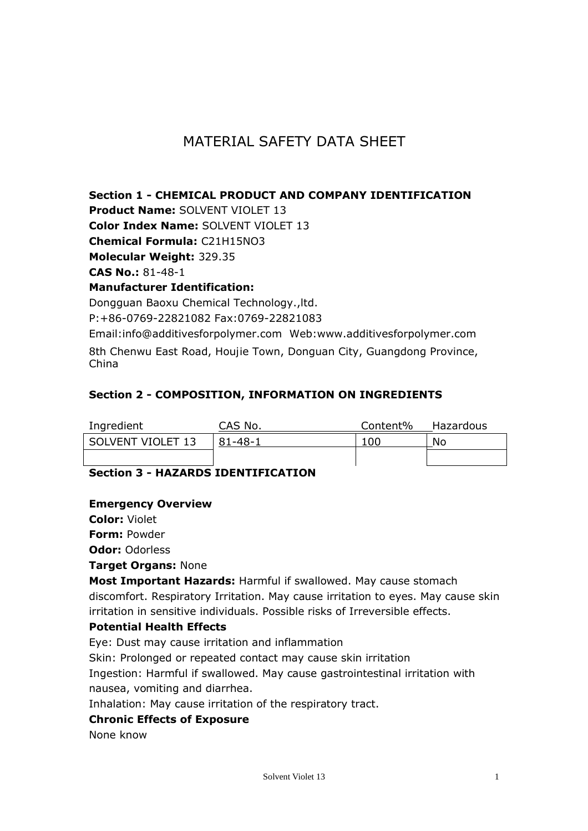# MATERIAL SAFETY DATA SHEET

# **Section 1 - CHEMICAL PRODUCT AND COMPANY IDENTIFICATION**

**Product Name:** SOLVENT VIOLET 13

**Color Index Name:** SOLVENT VIOLET 13

**Chemical Formula:** C21H15NO3

**Molecular Weight:** 329.35

**CAS No.:** 81-48-1

### **Manufacturer Identification:**

Dongguan Baoxu Chemical Technology.,ltd. P:+86-0769-22821082 Fax:0769-22821083

Email:info@additivesforpolymer.com Web:www.additivesforpolymer.com 8th Chenwu East Road, Houjie Town, Donguan City, Guangdong Province, China

# **Section 2 - COMPOSITION, INFORMATION ON INGREDIENTS**

| Ingredient        | CAS No. | Content% | Hazardous |
|-------------------|---------|----------|-----------|
| SOLVENT VIOLET 13 | 81-48-1 | 100      | No        |
|                   |         |          |           |

# **Section 3 - HAZARDS IDENTIFICATION**

### **Emergency Overview**

**Color:** Violet

**Form:** Powder

**Odor:** Odorless

#### **Target Organs:** None

**Most Important Hazards:** Harmful if swallowed. May cause stomach discomfort. Respiratory Irritation. May cause irritation to eyes. May cause skin irritation in sensitive individuals. Possible risks of Irreversible effects.

### **Potential Health Effects**

Eye: Dust may cause irritation and inflammation

Skin: Prolonged or repeated contact may cause skin irritation

Ingestion: Harmful if swallowed. May cause gastrointestinal irritation with nausea, vomiting and diarrhea.

Inhalation: May cause irritation of the respiratory tract.

#### **Chronic Effects of Exposure**

None know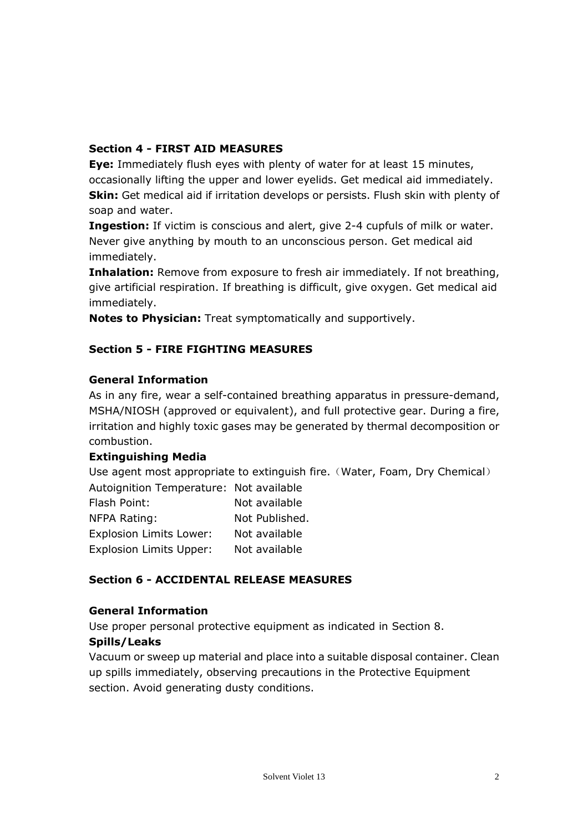# **Section 4 - FIRST AID MEASURES**

**Eye:** Immediately flush eyes with plenty of water for at least 15 minutes, occasionally lifting the upper and lower eyelids. Get medical aid immediately. **Skin:** Get medical aid if irritation develops or persists. Flush skin with plenty of soap and water.

**Ingestion:** If victim is conscious and alert, give 2-4 cupfuls of milk or water. Never give anything by mouth to an unconscious person. Get medical aid immediately.

**Inhalation:** Remove from exposure to fresh air immediately. If not breathing, give artificial respiration. If breathing is difficult, give oxygen. Get medical aid immediately.

**Notes to Physician:** Treat symptomatically and supportively.

# **Section 5 - FIRE FIGHTING MEASURES**

### **General Information**

As in any fire, wear a self-contained breathing apparatus in pressure-demand, MSHA/NIOSH (approved or equivalent), and full protective gear. During a fire, irritation and highly toxic gases may be generated by thermal decomposition or combustion.

### **Extinguishing Media**

Use agent most appropriate to extinguish fire. (Water, Foam, Dry Chemical) Autoignition Temperature: Not available Flash Point: Not available

| ivul avaliaulu |
|----------------|
| Not Published. |
| Not available  |
| Not available  |
|                |

### **Section 6 - ACCIDENTAL RELEASE MEASURES**

#### **General Information**

Use proper personal protective equipment as indicated in Section 8.

### **Spills/Leaks**

Vacuum or sweep up material and place into a suitable disposal container. Clean up spills immediately, observing precautions in the Protective Equipment section. Avoid generating dusty conditions.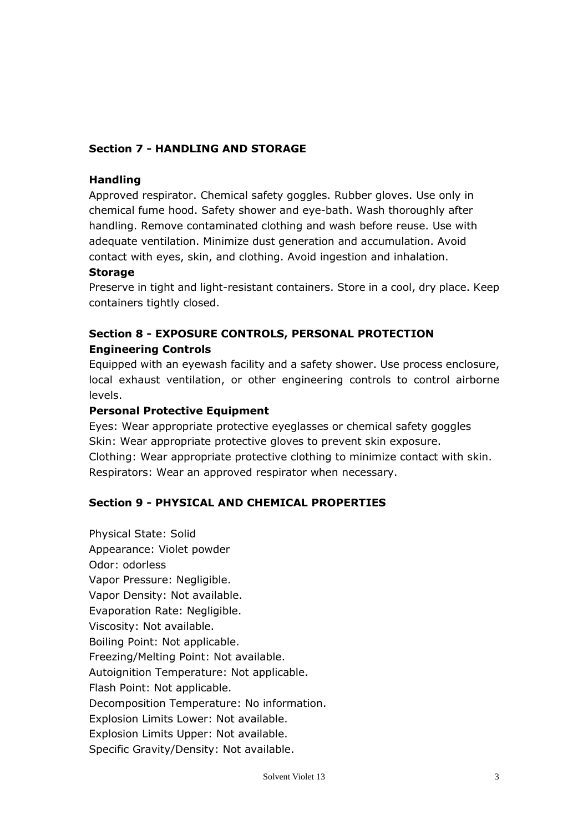# **Section 7 - HANDLING AND STORAGE**

#### **Handling**

Approved respirator. Chemical safety goggles. Rubber gloves. Use only in chemical fume hood. Safety shower and eye-bath. Wash thoroughly after handling. Remove contaminated clothing and wash before reuse. Use with adequate ventilation. Minimize dust generation and accumulation. Avoid contact with eyes, skin, and clothing. Avoid ingestion and inhalation.

#### **Storage**

Preserve in tight and light-resistant containers. Store in a cool, dry place. Keep containers tightly closed.

# **Section 8 - EXPOSURE CONTROLS, PERSONAL PROTECTION Engineering Controls**

Equipped with an eyewash facility and a safety shower. Use process enclosure, local exhaust ventilation, or other engineering controls to control airborne levels.

#### **Personal Protective Equipment**

Eyes: Wear appropriate protective eyeglasses or chemical safety goggles Skin: Wear appropriate protective gloves to prevent skin exposure. Clothing: Wear appropriate protective clothing to minimize contact with skin. Respirators: Wear an approved respirator when necessary.

### **Section 9 - PHYSICAL AND CHEMICAL PROPERTIES**

Physical State: Solid Appearance: Violet powder Odor: odorless Vapor Pressure: Negligible. Vapor Density: Not available. Evaporation Rate: Negligible. Viscosity: Not available. Boiling Point: Not applicable. Freezing/Melting Point: Not available. Autoignition Temperature: Not applicable. Flash Point: Not applicable. Decomposition Temperature: No information. Explosion Limits Lower: Not available. Explosion Limits Upper: Not available. Specific Gravity/Density: Not available.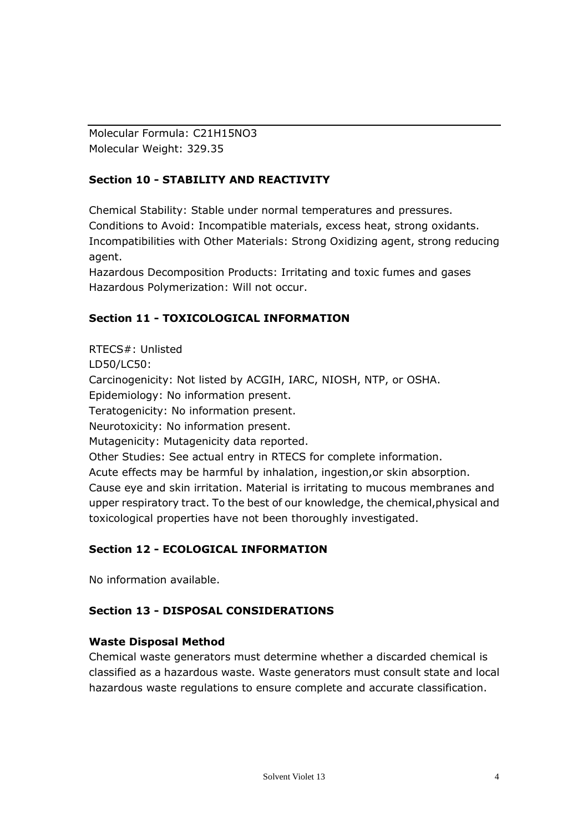Molecular Formula: C21H15NO3 Molecular Weight: 329.35

# **Section 10 - STABILITY AND REACTIVITY**

Chemical Stability: Stable under normal temperatures and pressures. Conditions to Avoid: Incompatible materials, excess heat, strong oxidants. Incompatibilities with Other Materials: Strong Oxidizing agent, strong reducing agent.

Hazardous Decomposition Products: Irritating and toxic fumes and gases Hazardous Polymerization: Will not occur.

# **Section 11 - TOXICOLOGICAL INFORMATION**

RTECS#: Unlisted LD50/LC50: Carcinogenicity: Not listed by ACGIH, IARC, NIOSH, NTP, or OSHA. Epidemiology: No information present. Teratogenicity: No information present. Neurotoxicity: No information present. Mutagenicity: Mutagenicity data reported. Other Studies: See actual entry in RTECS for complete information. Acute effects may be harmful by inhalation, ingestion,or skin absorption. Cause eye and skin irritation. Material is irritating to mucous membranes and upper respiratory tract. To the best of our knowledge, the chemical,physical and toxicological properties have not been thoroughly investigated.

### **Section 12 - ECOLOGICAL INFORMATION**

No information available.

### **Section 13 - DISPOSAL CONSIDERATIONS**

### **Waste Disposal Method**

Chemical waste generators must determine whether a discarded chemical is classified as a hazardous waste. Waste generators must consult state and local hazardous waste regulations to ensure complete and accurate classification.